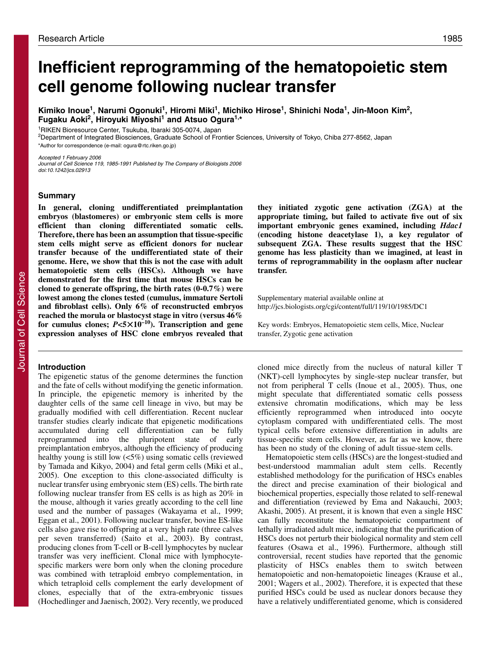# **Inefficient reprogramming of the hematopoietic stem cell genome following nuclear transfer**

**Kimiko Inoue1, Narumi Ogonuki1, Hiromi Miki1, Michiko Hirose1, Shinichi Noda1, Jin-Moon Kim2, Fugaku Aoki2, Hiroyuki Miyoshi1 and Atsuo Ogura1,\***

1RIKEN Bioresource Center, Tsukuba, Ibaraki 305-0074, Japan

2Department of Integrated Biosciences, Graduate School of Frontier Sciences, University of Tokyo, Chiba 277-8562, Japan \*Author for correspondence (e-mail: ogura@rtc.riken.go.jp)

Accepted 1 February 2006

Journal of Cell Science 119, 1985-1991 Published by The Company of Biologists 2006 doi:10.1242/jcs.02913

## **Summary**

**In general, cloning undifferentiated preimplantation embryos (blastomeres) or embryonic stem cells is more efficient than cloning differentiated somatic cells. Therefore, there has been an assumption that tissue-specific stem cells might serve as efficient donors for nuclear transfer because of the undifferentiated state of their genome. Here, we show that this is not the case with adult hematopoietic stem cells (HSCs). Although we have demonstrated for the first time that mouse HSCs can be cloned to generate offspring, the birth rates (0-0.7%) were lowest among the clones tested (cumulus, immature Sertoli and fibroblast cells). Only 6% of reconstructed embryos reached the morula or blastocyst stage in vitro (versus 46% for cumulus clones;** *P***<5**-**10–10). Transcription and gene expression analyses of HSC clone embryos revealed that**

# **Introduction**

The epigenetic status of the genome determines the function and the fate of cells without modifying the genetic information. In principle, the epigenetic memory is inherited by the daughter cells of the same cell lineage in vivo, but may be gradually modified with cell differentiation. Recent nuclear transfer studies clearly indicate that epigenetic modifications accumulated during cell differentiation can be fully reprogrammed into the pluripotent state of early preimplantation embryos, although the efficiency of producing healthy young is still low  $\left\langle \langle 5\% \rangle \right\rangle$  using somatic cells (reviewed by Tamada and Kikyo, 2004) and fetal germ cells (Miki et al., 2005). One exception to this clone-associated difficulty is nuclear transfer using embryonic stem (ES) cells. The birth rate following nuclear transfer from ES cells is as high as 20% in the mouse, although it varies greatly according to the cell line used and the number of passages (Wakayama et al., 1999; Eggan et al., 2001). Following nuclear transfer, bovine ES-like cells also gave rise to offspring at a very high rate (three calves per seven transferred) (Saito et al., 2003). By contrast, producing clones from T-cell or B-cell lymphocytes by nuclear transfer was very inefficient. Clonal mice with lymphocytespecific markers were born only when the cloning procedure was combined with tetraploid embryo complementation, in which tetraploid cells complement the early development of clones, especially that of the extra-embryonic tissues (Hochedlinger and Jaenisch, 2002). Very recently, we produced

**they initiated zygotic gene activation (ZGA) at the appropriate timing, but failed to activate five out of six important embryonic genes examined, including** *Hdac1* **(encoding histone deacetylase 1), a key regulator of subsequent ZGA. These results suggest that the HSC genome has less plasticity than we imagined, at least in terms of reprogrammability in the ooplasm after nuclear transfer.**

Supplementary material available online at http://jcs.biologists.org/cgi/content/full/119/10/1985/DC1

Key words: Embryos, Hematopoietic stem cells, Mice, Nuclear transfer, Zygotic gene activation

cloned mice directly from the nucleus of natural killer T (NKT)-cell lymphocytes by single-step nuclear transfer, but not from peripheral T cells (Inoue et al., 2005). Thus, one might speculate that differentiated somatic cells possess extensive chromatin modifications, which may be less efficiently reprogrammed when introduced into oocyte cytoplasm compared with undifferentiated cells. The most typical cells before extensive differentiation in adults are tissue-specific stem cells. However, as far as we know, there has been no study of the cloning of adult tissue-stem cells.

Hematopoietic stem cells (HSCs) are the longest-studied and best-understood mammalian adult stem cells. Recently established methodology for the purification of HSCs enables the direct and precise examination of their biological and biochemical properties, especially those related to self-renewal and differentiation (reviewed by Ema and Nakauchi, 2003; Akashi, 2005). At present, it is known that even a single HSC can fully reconstitute the hematopoietic compartment of lethally irradiated adult mice, indicating that the purification of HSCs does not perturb their biological normality and stem cell features (Osawa et al., 1996). Furthermore, although still controversial, recent studies have reported that the genomic plasticity of HSCs enables them to switch between hematopoietic and non-hematopoietic lineages (Krause et al., 2001; Wagers et al., 2002). Therefore, it is expected that these purified HSCs could be used as nuclear donors because they have a relatively undifferentiated genome, which is considered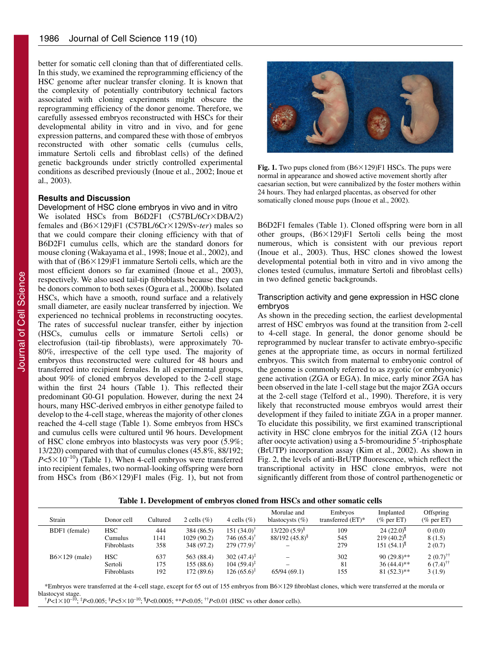better for somatic cell cloning than that of differentiated cells. In this study, we examined the reprogramming efficiency of the HSC genome after nuclear transfer cloning. It is known that the complexity of potentially contributory technical factors associated with cloning experiments might obscure the reprogramming efficiency of the donor genome. Therefore, we carefully assessed embryos reconstructed with HSCs for their developmental ability in vitro and in vivo, and for gene expression patterns, and compared these with those of embryos reconstructed with other somatic cells (cumulus cells, immature Sertoli cells and fibroblast cells) of the defined genetic backgrounds under strictly controlled experimental conditions as described previously (Inoue et al., 2002; Inoue et al., 2003).

## **Results and Discussion**

Development of HSC clone embryos in vivo and in vitro We isolated HSCs from B6D2F1 (C57BL/6Cr×DBA/2) females and (B6×129)F1 (C57BL/6Cr×129/Sv-ter) males so that we could compare their cloning efficiency with that of B6D2F1 cumulus cells, which are the standard donors for mouse cloning (Wakayama et al., 1998; Inoue et al., 2002), and with that of  $(B6 \times 129)F1$  immature Sertoli cells, which are the most efficient donors so far examined (Inoue et al., 2003), respectively. We also used tail-tip fibroblasts because they can be donors common to both sexes (Ogura et al., 2000b). Isolated HSCs, which have a smooth, round surface and a relatively small diameter, are easily nuclear transferred by injection. We experienced no technical problems in reconstructing oocytes. The rates of successful nuclear transfer, either by injection (HSCs, cumulus cells or immature Sertoli cells) or electrofusion (tail-tip fibroblasts), were approximately 70- 80%, irrespective of the cell type used. The majority of embryos thus reconstructed were cultured for 48 hours and transferred into recipient females. In all experimental groups, about 90% of cloned embryos developed to the 2-cell stage within the first 24 hours (Table 1). This reflected their predominant G0-G1 population. However, during the next 24 hours, many HSC-derived embryos in either genotype failed to develop to the 4-cell stage, whereas the majority of other clones reached the 4-cell stage (Table 1). Some embryos from HSCs and cumulus cells were cultured until 96 hours. Development of HSC clone embryos into blastocysts was very poor (5.9%; 13/220) compared with that of cumulus clones (45.8%, 88/192;  $P \le 5 \times 10^{-10}$ ) (Table 1). When 4-cell embryos were transferred into recipient females, two normal-looking offspring were born from HSCs from  $(B6\times129)F1$  males (Fig. 1), but not from



**Fig. 1.** Two pups cloned from (B6×129)F1 HSCs. The pups were normal in appearance and showed active movement shortly after caesarian section, but were cannibalized by the foster mothers within 24 hours. They had enlarged placentas, as observed for other somatically cloned mouse pups (Inoue et al., 2002).

B6D2F1 females (Table 1). Cloned offspring were born in all other groups,  $(B6 \times 129)F1$  Sertoli cells being the most numerous, which is consistent with our previous report (Inoue et al., 2003). Thus, HSC clones showed the lowest developmental potential both in vitro and in vivo among the clones tested (cumulus, immature Sertoli and fibroblast cells) in two defined genetic backgrounds.

# Transcription activity and gene expression in HSC clone embryos

As shown in the preceding section, the earliest developmental arrest of HSC embryos was found at the transition from 2-cell to 4-cell stage. In general, the donor genome should be reprogrammed by nuclear transfer to activate embryo-specific genes at the appropriate time, as occurs in normal fertilized embryos. This switch from maternal to embryonic control of the genome is commonly referred to as zygotic (or embryonic) gene activation (ZGA or EGA). In mice, early minor ZGA has been observed in the late 1-cell stage but the major ZGA occurs at the 2-cell stage (Telford et al., 1990). Therefore, it is very likely that reconstructed mouse embryos would arrest their development if they failed to initiate ZGA in a proper manner. To elucidate this possibility, we first examined transcriptional activity in HSC clone embryos for the initial ZGA (12 hours after oocyte activation) using a 5-bromouridine 5'-triphosphate (BrUTP) incorporation assay (Kim et al., 2002). As shown in Fig. 2, the levels of anti-BrUTP fluorescence, which reflect the transcriptional activity in HSC clone embryos, were not significantly different from those of control parthenogenetic or

**Table 1. Development of embryos cloned from HSCs and other somatic cells**

| Strain               | Donor cell  | Cultured | 2 cells $(\%)$ | 4 cells $(\% )$          | Morulae and<br>blastocysts $(\%)$ | Embryos<br>transferred $(ET)^*$ | Implanted<br>$(\%$ per ET) | Offspring<br>$(\%$ per ET) |
|----------------------|-------------|----------|----------------|--------------------------|-----------------------------------|---------------------------------|----------------------------|----------------------------|
| BDF1 (female)        | <b>HSC</b>  | 444      | 384 (86.5)     | $151 (34.0)^{\dagger}$   | $13/220(5.9)^8$                   | 109                             | $24(22.0)^{9}$             | 0(0.0)                     |
|                      | Cumulus     | 1141     | 1029 (90.2)    | $746(65.4)$ <sup>†</sup> | $88/192(45.8)^{8}$                | 545                             | $219(40.2)^{11}$           | 8(1.5)                     |
|                      | Fibroblasts | 358      | 348 (97.2)     | $279(77.9)$ <sup>†</sup> |                                   | 279                             | $151(54.1)^{\text{T}}$     | 2(0.7)                     |
| $B6\times129$ (male) | <b>HSC</b>  | 637      | 563 (88.4)     | 302 $(47.4)^{\ddagger}$  |                                   | 302                             | $90(29.8)$ **              | $2(0.7)^{+1}$              |
|                      | Sertoli     | 175      | 155(88.6)      | $104(59.4)^{4}$          |                                   | 81                              | $36(44.4)$ **              | $6(7.4)$ <sup>††</sup>     |
|                      | Fibroblasts | 192      | 172 (89.6)     | $126(65.6)^{4}$          | 65/94(69.1)                       | 155                             | $81 (52.3)$ **             | 3(1.9)                     |

\*Embryos were transferred at the 4-cell stage, except for 65 out of 155 embryos from B6×129 fibroblast clones, which were transferred at the morula or blastocyst stage.

<sup>†</sup>*P*<1×10<sup>-10</sup>; <sup>‡</sup>*P*<0.005; <sup>\$</sup>*P*<5×10<sup>-10</sup>; <sup>¶</sup>*P*<0.0005; \*\**P*<0.05; <sup>††</sup>*P*<0.01 (HSC vs other donor cells).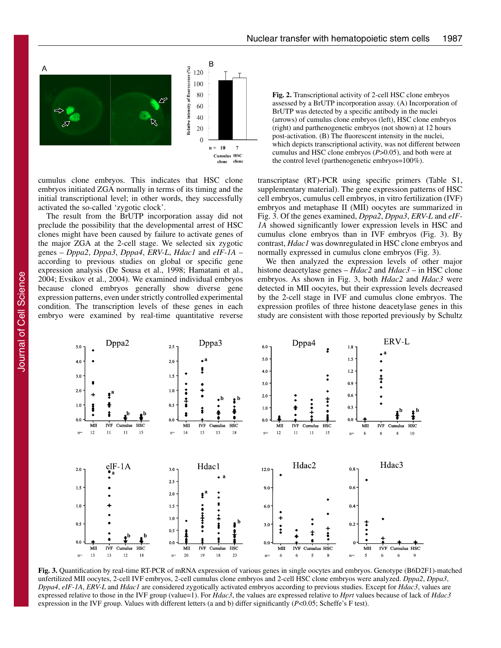

cumulus clone embryos. This indicates that HSC clone embryos initiated ZGA normally in terms of its timing and the initial transcriptional level; in other words, they successfully activated the so-called 'zygotic clock'.

The result from the BrUTP incorporation assay did not preclude the possibility that the developmental arrest of HSC clones might have been caused by failure to activate genes of the major ZGA at the 2-cell stage. We selected six zygotic genes – *Dppa2*, *Dppa3*, *Dppa4*, *ERV-L*, *Hdac1* and *eIF-1A* – according to previous studies on global or specific gene expression analysis (De Sousa et al., 1998; Hamatani et al., 2004; Evsikov et al., 2004). We examined individual embryos because cloned embryos generally show diverse gene expression patterns, even under strictly controlled experimental condition. The transcription levels of these genes in each embryo were examined by real-time quantitative reverse

**Fig. 2.** Transcriptional activity of 2-cell HSC clone embryos assessed by a BrUTP incorporation assay. (A) Incorporation of BrUTP was detected by a specific antibody in the nuclei (arrows) of cumulus clone embryos (left), HSC clone embryos (right) and parthenogenetic embryos (not shown) at 12 hours post-activation. (B) The fluorescent intensity in the nuclei, which depicts transcriptional activity, was not different between cumulus and HSC clone embryos (*P*>0.05), and both were at the control level (parthenogenetic embryos=100%).

transcriptase (RT)-PCR using specific primers (Table S1, supplementary material). The gene expression patterns of HSC cell embryos, cumulus cell embryos, in vitro fertilization (IVF) embryos and metaphase II (MII) oocytes are summarized in Fig. 3. Of the genes examined, *Dppa2*, *Dppa3*, *ERV-L* and *eIF-1A* showed significantly lower expression levels in HSC and cumulus clone embryos than in IVF embryos (Fig. 3). By contrast, *Hdac1* was downregulated in HSC clone embryos and normally expressed in cumulus clone embryos (Fig. 3).

We then analyzed the expression levels of other major histone deacetylase genes – *Hdac2* and *Hdac3* – in HSC clone embryos. As shown in Fig. 3, both *Hdac2* and *Hdac3* were detected in MII oocytes, but their expression levels decreased by the 2-cell stage in IVF and cumulus clone embryos. The expression profiles of three histone deacetylase genes in this study are consistent with those reported previously by Schultz



**Fig. 3.** Quantification by real-time RT-PCR of mRNA expression of various genes in single oocytes and embryos. Genotype (B6D2F1)-matched unfertilized MII oocytes, 2-cell IVF embryos, 2-cell cumulus clone embryos and 2-cell HSC clone embryos were analyzed. *Dppa2*, *Dppa3*, *Dppa4*, *eIF-1A*, *ERV-L* and *Hdac1* are considered zygotically activated embryos according to previous studies. Except for *Hdac3*, values are expressed relative to those in the IVF group (value=1). For *Hdac3*, the values are expressed relative to *Hprt* values because of lack of *Hdac3* expression in the IVF group. Values with different letters (a and b) differ significantly (*P*<0.05; Scheffe's F test).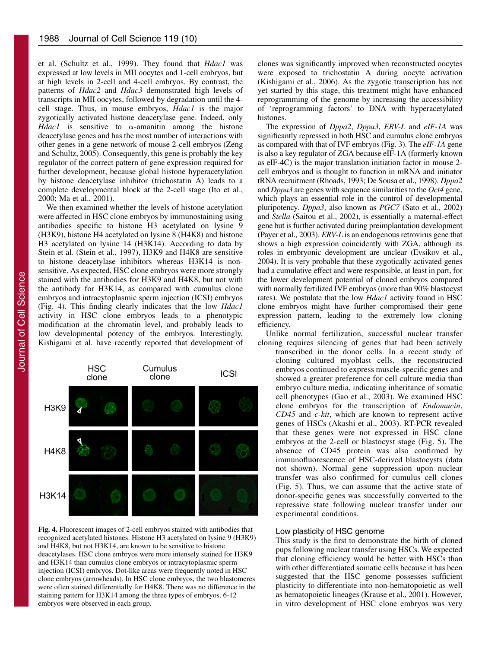et al. (Schultz et al., 1999). They found that *Hdac1* was expressed at low levels in MII oocytes and 1-cell embryos, but at high levels in 2-cell and 4-cell embryos. By contrast, the patterns of *Hdac2* and *Hdac3* demonstrated high levels of transcripts in MII oocytes, followed by degradation until the 4 cell stage. Thus, in mouse embryos, *Hdac1* is the major zygotically activated histone deacetylase gene. Indeed, only *Hdac1* is sensitive to  $\alpha$ -amanitin among the histone deacetylase genes and has the most number of interactions with other genes in a gene network of mouse 2-cell embryos (Zeng and Schultz, 2005). Consequently, this gene is probably the key regulator of the correct pattern of gene expression required for further development, because global histone hyperacetylation by histone deacetylase inhibitor (trichostatin A) leads to a complete developmental block at the 2-cell stage (Ito et al., 2000; Ma et al., 2001).

We then examined whether the levels of histone acetylation were affected in HSC clone embryos by immunostaining using antibodies specific to histone H3 acetylated on lysine 9 (H3K9), histone H4 acetylated on lysine 8 (H4K8) and histone H3 acetylated on lysine 14 (H3K14). According to data by Stein et al. (Stein et al., 1997), H3K9 and H4K8 are sensitive to histone deacetylase inhibitors whereas H3K14 is nonsensitive. As expected, HSC clone embryos were more strongly stained with the antibodies for H3K9 and H4K8, but not with the antibody for H3K14, as compared with cumulus clone embryos and intracytoplasmic sperm injection (ICSI) embryos (Fig. 4). This finding clearly indicates that the low *Hdac1* activity in HSC clone embryos leads to a phenotypic modification at the chromatin level, and probably leads to low developmental potency of the embryos. Interestingly, Kishigami et al. have recently reported that development of clones was significantly improved when reconstructed oocytes were exposed to trichostatin A during oocyte activation (Kishigami et al., 2006). As the zygotic transcription has not yet started by this stage, this treatment might have enhanced reprogramming of the genome by increasing the accessibility of 'reprogramming factors' to DNA with hyperacetylated histones.

The expression of *Dppa2*, *Dppa3*, *ERV-L* and *eIF-1A* was significantly repressed in both HSC and cumulus clone embryos as compared with that of IVF embryos (Fig. 3). The *eIF-1A* gene is also a key regulator of ZGA because eIF-1A (formerly known as eIF-4C) is the major translation initiation factor in mouse 2 cell embryos and is thought to function in mRNA and initiator tRNA recruitment (Rhoads, 1993; De Sousa et al., 1998). *Dppa2* and *Dppa3* are genes with sequence similarities to the *Oct4* gene, which plays an essential role in the control of developmental pluripotency. *Dppa3*, also known as *PGC7* (Sato et al., 2002) and *Stella* (Saitou et al., 2002), is essentially a maternal-effect gene but is further activated during preimplantation development (Payer et al., 2003). *ERV-L* is an endogenous retrovirus gene that shows a high expression coincidently with ZGA, although its roles in embryonic development are unclear (Evsikov et al., 2004). It is very probable that these zygotically activated genes had a cumulative effect and were responsible, at least in part, for the lower development potential of cloned embryos compared with normally fertilized IVF embryos (more than 90% blastocyst rates). We postulate that the low *Hdac1* activity found in HSC clone embryos might have further compromised their gene expression pattern, leading to the extremely low cloning efficiency.

Unlike normal fertilization, successful nuclear transfer cloning requires silencing of genes that had been actively

transcribed in the donor cells. In a recent study of cloning cultured myoblast cells, the reconstructed embryos continued to express muscle-specific genes and showed a greater preference for cell culture media than embryo culture media, indicating inheritance of somatic cell phenotypes (Gao et al., 2003). We examined HSC clone embryos for the transcription of *Endomucin*, *CD45* and *c-kit*, which are known to represent active genes of HSCs (Akashi et al., 2003). RT-PCR revealed that these genes were not expressed in HSC clone embryos at the 2-cell or blastocyst stage (Fig. 5). The absence of CD45 protein was also confirmed by immunofluorescence of HSC-derived blastocysts (data not shown). Normal gene suppression upon nuclear transfer was also confirmed for cumulus cell clones (Fig. 5). Thus, we can assume that the active state of donor-specific genes was successfully converted to the repressive state following nuclear transfer under our experimental conditions.

# Low plasticity of HSC genome

This study is the first to demonstrate the birth of cloned pups following nuclear transfer using HSCs. We expected that cloning efficiency would be better with HSCs than with other differentiated somatic cells because it has been suggested that the HSC genome possesses sufficient plasticity to differentiate into non-hematopoietic as well as hematopoietic lineages (Krause et al., 2001). However, in vitro development of HSC clone embryos was very



**Fig. 4.** Fluorescent images of 2-cell embryos stained with antibodies that recognized acetylated histones. Histone H3 acetylated on lysine 9 (H3K9) and H4K8, but not H3K14, are known to be sensitive to histone deacetylases. HSC clone embryos were more intensely stained for H3K9 and H3K14 than cumulus clone embryos or intracytoplasmic sperm injection (ICSI) embryos. Dot-like areas were frequently noted in HSC clone embryos (arrowheads). In HSC clone embryos, the two blastomeres were often stained differentially for H4K8. There was no difference in the staining pattern for H3K14 among the three types of embryos. 6-12 embryos were observed in each group.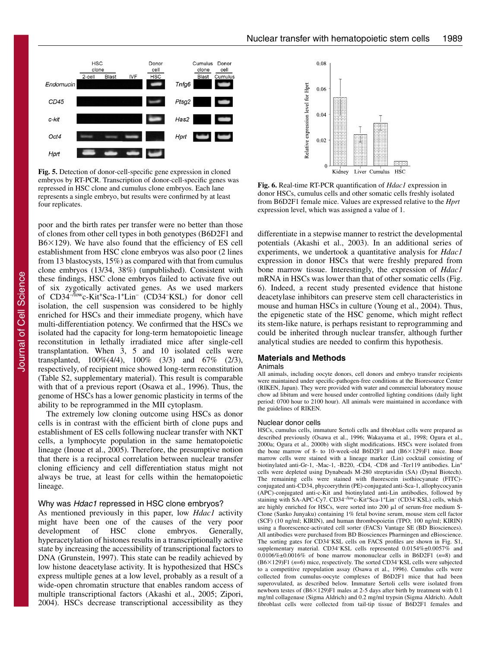

**Fig. 5.** Detection of donor-cell-specific gene expression in cloned embryos by RT-PCR. Transcription of donor-cell-specific genes was repressed in HSC clone and cumulus clone embryos. Each lane represents a single embryo, but results were confirmed by at least four replicates.

poor and the birth rates per transfer were no better than those of clones from other cell types in both genotypes (B6D2F1 and  $B6\times129$ ). We have also found that the efficiency of ES cell establishment from HSC clone embryos was also poor (2 lines from 13 blastocysts, 15%) as compared with that from cumulus clone embryos (13/34, 38%) (unpublished). Consistent with these findings, HSC clone embryos failed to activate five out of six zygotically activated genes. As we used markers of CD34–/lowc-Kit+Sca-1+Lin– (CD34– KSL) for donor cell isolation, the cell suspension was considered to be highly enriched for HSCs and their immediate progeny, which have multi-differentiation potency. We confirmed that the HSCs we isolated had the capacity for long-term hematopoietic lineage reconstitution in lethally irradiated mice after single-cell transplantation. When 3, 5 and 10 isolated cells were transplanted,  $100\%(4/4)$ ,  $100\%$   $(3/3)$  and  $67\%$   $(2/3)$ , respectively, of recipient mice showed long-term reconstitution (Table S2, supplementary material). This result is comparable with that of a previous report (Osawa et al., 1996). Thus, the genome of HSCs has a lower genomic plasticity in terms of the ability to be reprogrammed in the MII cytoplasm.

The extremely low cloning outcome using HSCs as donor cells is in contrast with the efficient birth of clone pups and establishment of ES cells following nuclear transfer with NKT cells, a lymphocyte population in the same hematopoietic lineage (Inoue et al., 2005). Therefore, the presumptive notion that there is a reciprocal correlation between nuclear transfer cloning efficiency and cell differentiation status might not always be true, at least for cells within the hematopoietic lineage.

# Why was Hdac1 repressed in HSC clone embryos?

As mentioned previously in this paper, low *Hdac1* activity might have been one of the causes of the very poor development of HSC clone embryos. Generally, hyperacetylation of histones results in a transcriptionally active state by increasing the accessibility of transcriptional factors to DNA (Grunstein, 1997). This state can be readily achieved by low histone deacetylase activity. It is hypothesized that HSCs express multiple genes at a low level, probably as a result of a wide-open chromatin structure that enables random access of multiple transcriptional factors (Akashi et al., 2005; Zipori, 2004). HSCs decrease transcriptional accessibility as they



**Fig. 6.** Real-time RT-PCR quantification of *Hdac1* expression in donor HSCs, cumulus cells and other somatic cells freshly isolated from B6D2F1 female mice. Values are expressed relative to the *Hprt* expression level, which was assigned a value of 1.

differentiate in a stepwise manner to restrict the developmental potentials (Akashi et al., 2003). In an additional series of experiments, we undertook a quantitative analysis for *Hdac1* expression in donor HSCs that were freshly prepared from bone marrow tissue. Interestingly, the expression of *Hdac1* mRNA in HSCs was lower than that of other somatic cells (Fig. 6). Indeed, a recent study presented evidence that histone deacetylase inhibitors can preserve stem cell characteristics in mouse and human HSCs in culture (Young et al., 2004). Thus, the epigenetic state of the HSC genome, which might reflect its stem-like nature, is perhaps resistant to reprogramming and could be inherited through nuclear transfer, although further analytical studies are needed to confirm this hypothesis.

## **Materials and Methods**

#### Animals

All animals, including oocyte donors, cell donors and embryo transfer recipients were maintained under specific-pathogen-free conditions at the Bioresource Center (RIKEN, Japan). They were provided with water and commercial laboratory mouse chow ad libitum and were housed under controlled lighting conditions (daily light period: 0700 hour to 2100 hour). All animals were maintained in accordance with the guidelines of RIKEN.

## Nuclear donor cells

HSCs, cumulus cells, immature Sertoli cells and fibroblast cells were prepared as described previously (Osawa et al., 1996; Wakayama et al., 1998; Ogura et al., 2000a; Ogura et al., 2000b) with slight modifications. HSCs were isolated from the bone marrow of 8- to 10-week-old B6D2F1 and  $(B6\times129)F1$  mice. Bone marrow cells were stained with a lineage marker (Lin) cocktail consisting of biotinylated anti-Gr-1, -Mac-1, -B220, -CD4, -CD8 and -Ter119 antibodies. Lin<sup>+</sup> cells were depleted using Dynabeads M-280 streptavidin (SA) (Dynal Biotech). The remaining cells were stained with fluorescein isothiocyanate (FITC) conjugated anti-CD34, phycoerythrin (PE)-conjugated anti-Sca-1, allophycocyanin (APC)-conjugated anti-c-Kit and biotinylated anti-Lin antibodies, followed by staining with SA-APC-Cy7. CD34<sup>-/low</sup>c-Kit<sup>+</sup>Sca-1<sup>+</sup>Lin<sup>-</sup> (CD34<sup>-</sup>KSL) cells, which are highly enriched for HSCs, were sorted into  $200 \mu l$  of serum-free medium S-Clone (Sanko Junyaku) containing 1% fetal bovine serum, mouse stem cell factor (SCF) (10 ng/ml; KIRIN), and human thrombopoietin (TPO; 100 ng/ml; KIRIN) using a fluorescence-activated cell sorter (FACS) Vantage SE (BD Biosciences). All antibodies were purchased from BD Biosciences Pharmingen and eBioscience. The sorting gates for CD34– KSL cells on FACS profiles are shown in Fig. S1, supplementary material. CD34<sup>-</sup>KSL cells represented 0.0154%±0.0057% and 0.0106%±0.0016% of bone marrow mononuclear cells in B6D2F1 (*n*=8) and (B6×129)F1 (n=6) mice, respectively. The sorted CD34<sup>-</sup>KSL cells were subjected to a competitive repopulation assay (Osawa et al., 1996). Cumulus cells were collected from cumulus-oocyte complexes of B6D2F1 mice that had been superovulated, as described below. Immature Sertoli cells were isolated from newborn testes of  $(B6 \times 129)F1$  males at 2-5 days after birth by treatment with 0.1 mg/ml collagenase (Sigma Aldrich) and 0.2 mg/ml trypsin (Sigma Aldrich). Adult fibroblast cells were collected from tail-tip tissue of B6D2F1 females and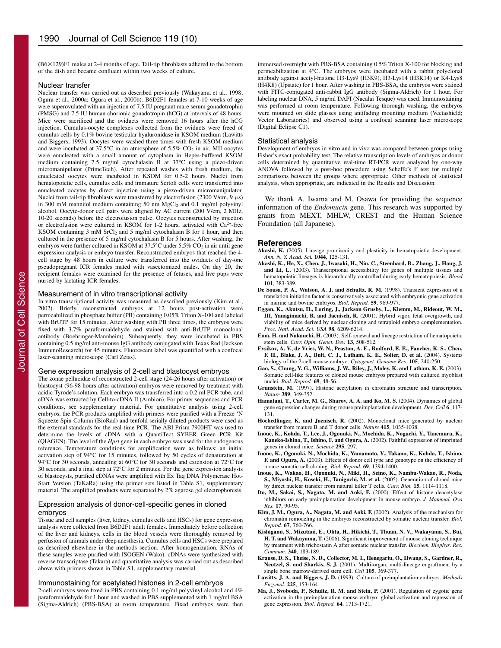(B6-129)F1 males at 2-4 months of age. Tail-tip fibroblasts adhered to the bottom of the dish and became confluent within two weeks of culture.

#### Nuclear transfer

Nuclear transfer was carried out as described previously (Wakayama et al., 1998; Ogura et al., 2000a; Ogura et al., 2000b). B6D2F1 females at 7-10 weeks of age were superovulated with an injection of 7.5 IU pregnant mare serum gonadotrophin (PMSG) and 7.5 IU human chorionic gonadotropin (hCG) at intervals of 48 hours. Mice were sacrificed and the oviducts were removed 16 hours after the hCG injection. Cumulus-oocyte complexes collected from the oviducts were freed of cumulus cells by 0.1% bovine testicular hyaluronidase in KSOM medium (Lawitts and Biggers, 1993). Oocytes were washed three times with fresh KSOM medium and were incubated at  $37.5^{\circ}$ C in an atmosphere of  $5.5\%$  CO<sub>2</sub> in air. MII oocytes were enucleated with a small amount of cytoplasm in Hepes-buffered KSOM medium containing 7.5 mg/ml cytochalasin B at 37°C using a piezo-driven micromanipulator (PrimeTech). After repeated washes with fresh medium, the enucleated oocytes were incubated in KSOM for 0.5-2 hours. Nuclei from hematopoietic cells, cumulus cells and immature Sertoli cells were transferred into enucleated oocytes by direct injection using a piezo-driven micromanipulator. Nuclei from tail-tip fibroblasts were transferred by electrofusion (2300 V/cm, 9  $\mu$ s) in 300 mM mannitol medium containing 50 nm  $MgCl<sub>2</sub>$  and 0.1 mg/ml polyvinyl alcohol. Oocyte-donor cell pairs were aligned by AC current (200 V/cm, 2 MHz, 10-20 seconds) before the electrofusion pulse. Oocytes reconstructed by injection or electrofusion were cultured in KSOM for 1-2 hours, activated with  $Ca^{2+}$ -free KSOM containing  $3 \text{ mM } SrCl_2$  and  $5 \text{ mg/ml } CrC_1$  and  $1 \text{ hour, and then}$ cultured in the presence of 5 mg/ml cytochalasin B for 5 hours. After washing, the embryos were further cultured in KSOM at  $37.5^{\circ}$ C under  $5.5\%$  CO<sub>2</sub> in air until gene expression analysis or embryo transfer. Reconstructed embryos that reached the 4 cell stage by 48 hours in culture were transferred into the oviducts of day-one pseudopregnant ICR females mated with vasectomized males. On day 20, the recipient females were examined for the presence of fetuses, and live pups were nursed by lactating ICR females.

#### Measurement of in vitro transcriptional activity

In vitro transcriptional activity was measured as described previously (Kim et al., 2002). Briefly, reconstructed embryos at 12 hours post-activation were permeabilized in phosphate buffer (PB) containing 0.05% Triton X-100 and labeled with BrUTP for 15 minutes. After washing with PB three times, the embryos were fixed with 3.7% paraformaldehyde and stained with anti-BrUTP monoclonal antibody (Boehringer-Mannheim). Subsequently, they were incubated in PBS containing 0.5 mg/ml anti-mouse IgG antibody conjugated with Texas Red (Jackson ImmunoResearch) for 45 minutes. Fluorescent label was quantified with a confocal laser-scanning microscope (Carl Zeiss).

## Gene expression analysis of 2-cell and blastocyst embryos

The zonae pellucidae of reconstructed 2-cell stage (24-26 hours after activation) or blastocyst (96-98 hours after activation) embryos were removed by treatment with acidic Tyrode's solution. Each embryo was transferred into a 0.2 ml PCR tube, and cDNA was extracted by Cell-to-cDNA II (Ambion). For primer sequences and PCR conditions, see supplementary material. For quantitative analysis using 2-cell embryos, the PCR products amplified with primers were purified with a Freeze 'N Squeeze Spin Column (BioRad) and tenfold serially diluted products were used as the external standards for the real-time PCR. The ABI Prism 7900HT was used to determine the levels of cDNA with a QuantiTect SYBER Green PCR Kit (QIAGEN). The level of the *Hprt* gene in each embryo was used for the endogenous reference. Temperature conditions for amplification were as follows: an initial activation step of 94°C for 15 minutes, followed by 50 cycles of denaturation at 94°C for 30 seconds, annealing at 60°C for 30 seconds and extension at 72°C for 30 seconds, and a final step at 72°C for 2 minutes. For the gene expression analysis of blastocysts, purified cDNAs were amplified with Ex Taq DNA Polymerase Hot-Start Version (TaKaRa) using the primer sets listed in Table S1, supplementary material. The amplified products were separated by 2% agarose gel electrophoresis.

## Expression analysis of donor-cell-specific genes in cloned embryos

Tissue and cell samples (liver, kidney, cumulus cells and HSCs) for gene expression analysis were collected from B6D2F1 adult females. Immediately before collection of the liver and kidneys, cells in the blood vessels were thoroughly removed by perfusion of animals under deep anesthesia. Cumulus cells and HSCs were prepared as described elsewhere in the methods section. After homogenization, RNAs of these samples were purified with ISOGEN (Wako). cDNAs were synthesized with reverse transcriptase (Takara) and quantitative analysis was carried out as described above with primers shown in Table S1, supplementary material.

## Immunostaining for acetylated histones in 2-cell embryos

2-cell embryos were fixed in PBS containing 0.1 mg/ml polyvinyl alcohol and 4% paraformaldehyde for 1 hour and washed in PBS supplemented with 1 mg/ml BSA (Sigma-Aldrich) (PBS-BSA) at room temperature. Fixed embryos were then immersed overnight with PBS-BSA containing 0.5% Triton X-100 for blocking and permeabilization at 4°C. The embryos were incubated with a rabbit polyclonal antibody against acetyl-histone H3-Lys9 (H3K9), H3-Lys14 (H3K14) or K4-Lys8 (H4K8) (Upstate) for 1 hour. After washing in PBS-BSA, the embryos were stained with FITC-conjugated anti-rabbit IgG antibody (Sigma-Aldrich) for 1 hour. For labeling nuclear DNA, 5 mg/ml DAPI (Nacalai Tesque) was used. Immunostaining was performed at room temperature. Following thorough washing, the embryos were mounted on slide glasses using antifading mounting medium (Vectashield; Vector Laboratories) and observed using a confocal scanning laser microscope (Digital Eclipse C1).

#### Statistical analysis

Development of embryos in vitro and in vivo was compared between groups using Fisher's exact probability test. The relative transcription levels of embryos or donor cells determined by quantitative real-time RT-PCR were analyzed by one-way ANOVA followed by a post-hoc procedure using Scheffe's F test for multiple comparisons between the groups where appropriate. Other methods of statistical analysis, when appropriate, are indicated in the Results and Discussion.

We thank A. Iwama and M. Osawa for providing the sequence information of the *Endomucin* gene. This research was supported by grants from MEXT, MHLW, CREST and the Human Science Foundation (all Japanese).

## **References**

- **Akashi, K.** (2005). Lineage promiscuity and plasticity in hematopoietic development. *Ann. N. Y. Acad. Sci.* **1044**, 125-131.
- **Akashi, K., He, X., Chen, J., Iwasaki, H., Niu, C., Steenhard, B., Zhang, J., Haug, J. and Li, L.** (2003). Transcriptional accessibility for genes of multiple tissues and hematopoietic lineages is hierarchically controlled during early hematopoiesis. *Blood* **101**, 383-389.
- **De Sousa, P. A., Watson, A. J. and Schultz, R. M.** (1998). Transient expression of a translation initiation factor is conservatively associated with embryonic gene activation in murine and bovine embryos. *Biol. Reprod.* **59**, 969-977.
- **Eggan, K., Akutsu, H., Loring, J., Jackson Grusby, L., Klemm, M., Rideout, W. M., III, Yanagimachi, R. and Jaenisch, R.** (2001). Hybrid vigor, fetal overgrowth, and viability of mice derived by nuclear cloning and tetraploid embryo complementation. *Proc. Natl. Acad. Sci. USA* **98**, 6209-6214.
- **Ema, H. and Nakauchi, H.** (2003). Self-renewal and lineage restriction of hematopoietic
- stem cells. *Curr. Opin. Genet. Dev.* **13**, 508-512. **Evsikov, A. V., de Vries, W. N., Peaston, A. E., Radford, E. E., Fancher, K. S., Chen, F. H., Blake, J. A., Bult, C. J., Latham, K. E., Solter, D. et al.** (2004). Systems biology of the 2-cell mouse embryo. *Cytogenet. Genome Res.* **105**, 240-250.
- **Gao, S., Chung, Y. G., Williams, J. W., Riley, J., Moley, K. and Latham, K. E.** (2003). Somatic cell-like features of cloned mouse embryos prepared with cultured myoblast nuclei. *Biol. Reprod.* **69**, 48-56.
- **Grunstein, M.** (1997). Histone acetylation in chromatin structure and transcription. *Nature* **389**, 349-352.
- **Hamatani, T., Carter, M. G., Sharov, A. A. and Ko, M. S.** (2004). Dynamics of global gene expression changes during mouse preimplantation development. *Dev. Cell* **6**, 117- 131.
- **Hochedlinger, K. and Jaenisch, R.** (2002). Monoclonal mice generated by nuclear transfer from mature B and T donor cells. *Nature* **415**, 1035-1038.
- **Inoue, K., Kohda, T., Lee, J., Ogonuki, N., Mochida, K., Noguchi, Y., Tanemura, K., Kaneko-Ishino, T., Ishino, F. and Ogura, A.** (2002). Faithful expression of imprinted genes in cloned mice. *Science* **295**, 297.
- **Inoue, K., Ogonuki, N., Mochida, K., Yamamoto, Y., Takano, K., Kohda, T., Ishino, F. and Ogura, A.** (2003). Effects of donor cell type and genotype on the efficiency of mouse somatic cell cloning. *Biol. Reprod.* **69**, 1394-1400.
- **Inoue, K., Wakao, H., Ogonuki, N., Miki, H., Seino, K., Nambu-Wakao, R., Noda, S., Miyoshi, H., Koseki, H., Taniguchi, M. et al.** (2005). Generation of cloned mice by direct nuclear transfer from natural killer T cells. *Curr. Biol.* **15**, 1114-1118.
- **Ito, M., Sakai, S., Nagata, M. and Aoki, F.** (2000). Effect of histone deacetylase inhibitors on early preimplantation development in mouse embryo. *J. Mammal. Ova Res.* **17**, 90-95.
- **Kim, J. M., Ogura, A., Nagata, M. and Aoki, F.** (2002). Analysis of the mechanism for chromatin remodeling in the embryos reconstructed by somatic nuclear transfer. *Biol. Reprod.* **67**, 760-766.
- **Kishigami, S., Mizutani, E., Ohta, H., Hikichi, T., Thuan, N. V., Wakayama, S., Bui, H. T. and Wakayama, T.** (2006). Significant improvement of mouse cloning technique by treatment with trichostatin A after somatic nuclear transfer. *Biochem. Biophys. Res. Commun.* **340**, 183-189.
- **Krause, D. S., Theise, N. D., Collector, M. I., Henegariu, O., Hwang, S., Gardner, R., Neutzel, S. and Sharkis, S. J.** (2001). Multi-organ, multi-lineage engraftment by a single bone marrow-derived stem cell. *Cell* **105**, 369-377.
- **Lawitts, J. A. and Biggers, J. D.** (1993). Culture of preimplantation embryos. *Methods Enzymol.* **225**, 153-164.
- **Ma, J., Svoboda, P., Schultz, R. M. and Stein, P.** (2001). Regulation of zygotic gene activation in the preimplantation mouse embryo: global activation and repression of gene expression. *Biol. Reprod.* **64**, 1713-1721.